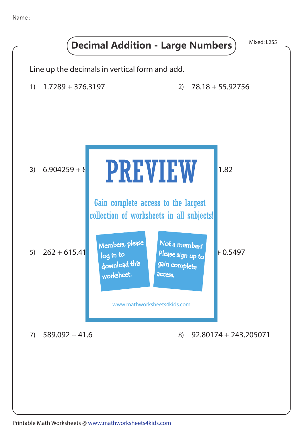